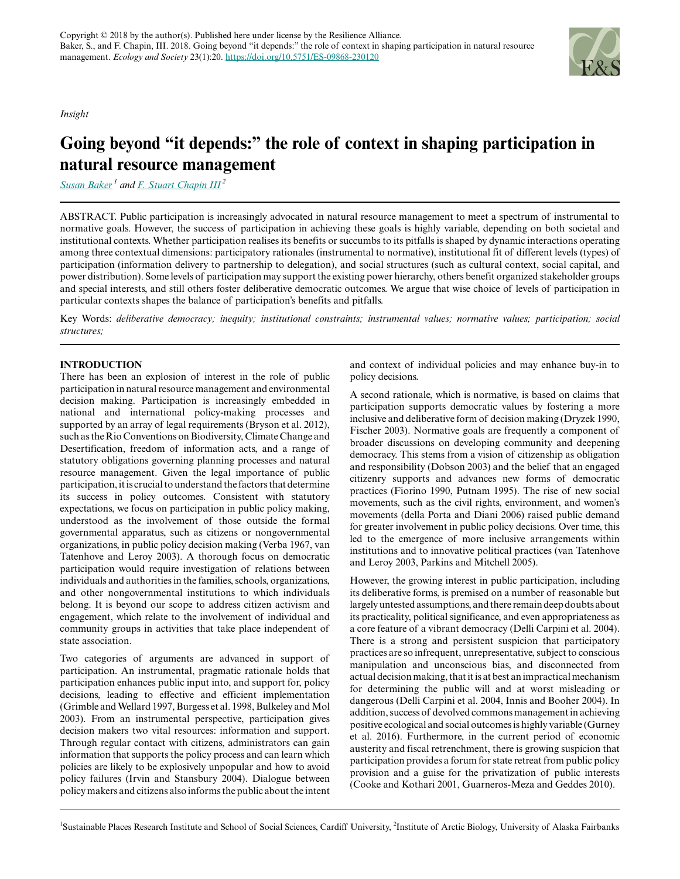## *Insight*



# **Going beyond "it depends:" the role of context in shaping participation in natural resource management**

*[Susan Baker](mailto:BakerSCM@cardiff.ac.uk)<sup>1</sup> and [F. Stuart Chapin III](mailto:terry.chapin@alaska.edu)<sup>2</sup>*

ABSTRACT. Public participation is increasingly advocated in natural resource management to meet a spectrum of instrumental to normative goals. However, the success of participation in achieving these goals is highly variable, depending on both societal and institutional contexts. Whether participation realises its benefits or succumbs to its pitfalls is shaped by dynamic interactions operating among three contextual dimensions: participatory rationales (instrumental to normative), institutional fit of different levels (types) of participation (information delivery to partnership to delegation), and social structures (such as cultural context, social capital, and power distribution). Some levels of participation may support the existing power hierarchy, others benefit organized stakeholder groups and special interests, and still others foster deliberative democratic outcomes. We argue that wise choice of levels of participation in particular contexts shapes the balance of participation's benefits and pitfalls.

Key Words: *deliberative democracy; inequity; institutional constraints; instrumental values; normative values; participation; social structures;*

## **INTRODUCTION**

There has been an explosion of interest in the role of public participation in natural resource management and environmental decision making. Participation is increasingly embedded in national and international policy-making processes and supported by an array of legal requirements (Bryson et al. 2012), such as the Rio Conventions on Biodiversity, Climate Change and Desertification, freedom of information acts, and a range of statutory obligations governing planning processes and natural resource management. Given the legal importance of public participation, it is crucial to understand the factors that determine its success in policy outcomes. Consistent with statutory expectations, we focus on participation in public policy making, understood as the involvement of those outside the formal governmental apparatus, such as citizens or nongovernmental organizations, in public policy decision making (Verba 1967, van Tatenhove and Leroy 2003). A thorough focus on democratic participation would require investigation of relations between individuals and authorities in the families, schools, organizations, and other nongovernmental institutions to which individuals belong. It is beyond our scope to address citizen activism and engagement, which relate to the involvement of individual and community groups in activities that take place independent of state association.

Two categories of arguments are advanced in support of participation. An instrumental, pragmatic rationale holds that participation enhances public input into, and support for, policy decisions, leading to effective and efficient implementation (Grimble and Wellard 1997, Burgess et al. 1998, Bulkeley and Mol 2003). From an instrumental perspective, participation gives decision makers two vital resources: information and support. Through regular contact with citizens, administrators can gain information that supports the policy process and can learn which policies are likely to be explosively unpopular and how to avoid policy failures (Irvin and Stansbury 2004). Dialogue between policy makers and citizens also informs the public about the intent and context of individual policies and may enhance buy-in to policy decisions.

A second rationale, which is normative, is based on claims that participation supports democratic values by fostering a more inclusive and deliberative form of decision making (Dryzek 1990, Fischer 2003). Normative goals are frequently a component of broader discussions on developing community and deepening democracy. This stems from a vision of citizenship as obligation and responsibility (Dobson 2003) and the belief that an engaged citizenry supports and advances new forms of democratic practices (Fiorino 1990, Putnam 1995). The rise of new social movements, such as the civil rights, environment, and women's movements (della Porta and Diani 2006) raised public demand for greater involvement in public policy decisions. Over time, this led to the emergence of more inclusive arrangements within institutions and to innovative political practices (van Tatenhove and Leroy 2003, Parkins and Mitchell 2005).

However, the growing interest in public participation, including its deliberative forms, is premised on a number of reasonable but largely untested assumptions, and there remain deep doubts about its practicality, political significance, and even appropriateness as a core feature of a vibrant democracy (Delli Carpini et al. 2004). There is a strong and persistent suspicion that participatory practices are so infrequent, unrepresentative, subject to conscious manipulation and unconscious bias, and disconnected from actual decision making, that it is at best an impractical mechanism for determining the public will and at worst misleading or dangerous (Delli Carpini et al. 2004, Innis and Booher 2004). In addition, success of devolved commons management in achieving positive ecological and social outcomes is highly variable (Gurney et al. 2016). Furthermore, in the current period of economic austerity and fiscal retrenchment, there is growing suspicion that participation provides a forum for state retreat from public policy provision and a guise for the privatization of public interests (Cooke and Kothari 2001, Guarneros-Meza and Geddes 2010).

<sup>1</sup>Sustainable Places Research Institute and School of Social Sciences, Cardiff University, <sup>2</sup>Institute of Arctic Biology, University of Alaska Fairbanks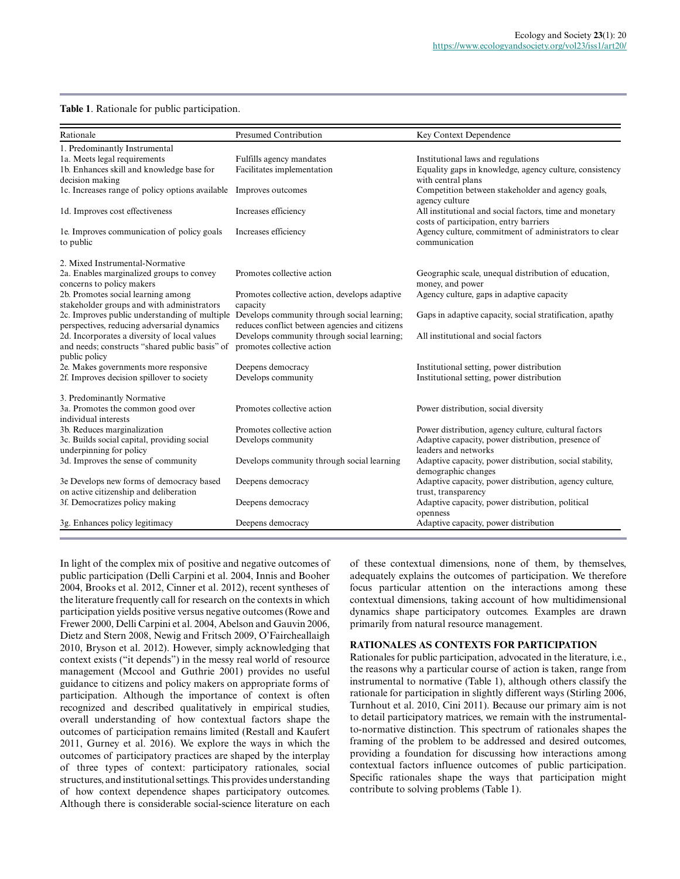## **Table 1**. Rationale for public participation.

| Rationale                                                                                                                                | Presumed Contribution                                                     | Key Context Dependence                                                                            |
|------------------------------------------------------------------------------------------------------------------------------------------|---------------------------------------------------------------------------|---------------------------------------------------------------------------------------------------|
| 1. Predominantly Instrumental                                                                                                            |                                                                           |                                                                                                   |
| 1a. Meets legal requirements                                                                                                             | Fulfills agency mandates                                                  | Institutional laws and regulations                                                                |
| 1b. Enhances skill and knowledge base for                                                                                                | Facilitates implementation                                                | Equality gaps in knowledge, agency culture, consistency                                           |
| decision making                                                                                                                          |                                                                           | with central plans                                                                                |
| 1c. Increases range of policy options available                                                                                          | Improves outcomes                                                         | Competition between stakeholder and agency goals,<br>agency culture                               |
| 1d. Improves cost effectiveness                                                                                                          | Increases efficiency                                                      | All institutional and social factors, time and monetary<br>costs of participation, entry barriers |
| 1e. Improves communication of policy goals<br>to public                                                                                  | Increases efficiency                                                      | Agency culture, commitment of administrators to clear<br>communication                            |
| 2. Mixed Instrumental-Normative                                                                                                          |                                                                           |                                                                                                   |
| 2a. Enables marginalized groups to convey<br>concerns to policy makers                                                                   | Promotes collective action                                                | Geographic scale, unequal distribution of education,<br>money, and power                          |
| 2b. Promotes social learning among<br>stakeholder groups and with administrators                                                         | Promotes collective action, develops adaptive<br>capacity                 | Agency culture, gaps in adaptive capacity                                                         |
| 2c. Improves public understanding of multiple Develops community through social learning;<br>perspectives, reducing adversarial dynamics | reduces conflict between agencies and citizens                            | Gaps in adaptive capacity, social stratification, apathy                                          |
| 2d. Incorporates a diversity of local values<br>and needs; constructs "shared public basis" of<br>public policy                          | Develops community through social learning;<br>promotes collective action | All institutional and social factors                                                              |
| 2e. Makes governments more responsive                                                                                                    | Deepens democracy                                                         | Institutional setting, power distribution                                                         |
| 2f. Improves decision spillover to society                                                                                               | Develops community                                                        | Institutional setting, power distribution                                                         |
| 3. Predominantly Normative                                                                                                               |                                                                           |                                                                                                   |
| 3a. Promotes the common good over<br>individual interests                                                                                | Promotes collective action                                                | Power distribution, social diversity                                                              |
| 3b. Reduces marginalization                                                                                                              | Promotes collective action                                                | Power distribution, agency culture, cultural factors                                              |
| 3c. Builds social capital, providing social                                                                                              | Develops community                                                        | Adaptive capacity, power distribution, presence of                                                |
| underpinning for policy                                                                                                                  |                                                                           | leaders and networks                                                                              |
| 3d. Improves the sense of community                                                                                                      | Develops community through social learning                                | Adaptive capacity, power distribution, social stability,<br>demographic changes                   |
| 3e Develops new forms of democracy based                                                                                                 | Deepens democracy                                                         | Adaptive capacity, power distribution, agency culture,                                            |
| on active citizenship and deliberation                                                                                                   |                                                                           | trust, transparency                                                                               |
| 3f. Democratizes policy making                                                                                                           | Deepens democracy                                                         | Adaptive capacity, power distribution, political<br>openness                                      |
| 3g. Enhances policy legitimacy                                                                                                           | Deepens democracy                                                         | Adaptive capacity, power distribution                                                             |

In light of the complex mix of positive and negative outcomes of public participation (Delli Carpini et al. 2004, Innis and Booher 2004, Brooks et al. 2012, Cinner et al. 2012), recent syntheses of the literature frequently call for research on the contexts in which participation yields positive versus negative outcomes (Rowe and Frewer 2000, Delli Carpini et al. 2004, Abelson and Gauvin 2006, Dietz and Stern 2008, Newig and Fritsch 2009, O'Faircheallaigh 2010, Bryson et al. 2012). However, simply acknowledging that context exists ("it depends") in the messy real world of resource management (Mccool and Guthrie 2001) provides no useful guidance to citizens and policy makers on appropriate forms of participation. Although the importance of context is often recognized and described qualitatively in empirical studies, overall understanding of how contextual factors shape the outcomes of participation remains limited (Restall and Kaufert 2011, Gurney et al. 2016). We explore the ways in which the outcomes of participatory practices are shaped by the interplay of three types of context: participatory rationales, social structures, and institutional settings. This provides understanding of how context dependence shapes participatory outcomes. Although there is considerable social-science literature on each

of these contextual dimensions, none of them, by themselves, adequately explains the outcomes of participation. We therefore focus particular attention on the interactions among these contextual dimensions, taking account of how multidimensional dynamics shape participatory outcomes. Examples are drawn primarily from natural resource management.

#### **RATIONALES AS CONTEXTS FOR PARTICIPATION**

Rationales for public participation, advocated in the literature, i.e., the reasons why a particular course of action is taken, range from instrumental to normative (Table 1), although others classify the rationale for participation in slightly different ways (Stirling 2006, Turnhout et al. 2010, Cini 2011). Because our primary aim is not to detail participatory matrices, we remain with the instrumentalto-normative distinction. This spectrum of rationales shapes the framing of the problem to be addressed and desired outcomes, providing a foundation for discussing how interactions among contextual factors influence outcomes of public participation. Specific rationales shape the ways that participation might contribute to solving problems (Table 1).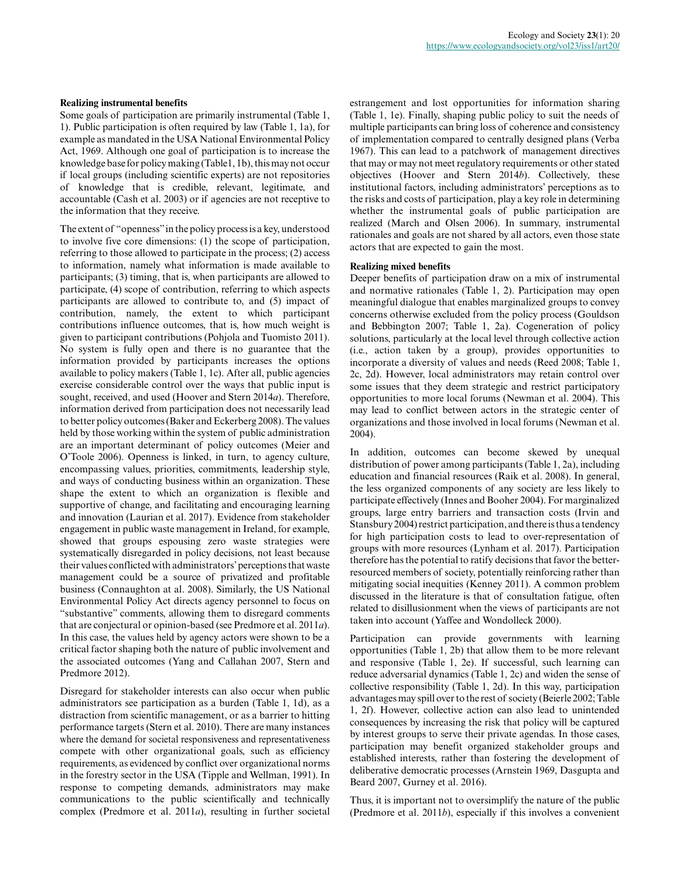#### **Realizing instrumental benefits**

Some goals of participation are primarily instrumental (Table 1, 1). Public participation is often required by law (Table 1, 1a), for example as mandated in the USA National Environmental Policy Act, 1969. Although one goal of participation is to increase the knowledge base for policy making (Table1, 1b), this may not occur if local groups (including scientific experts) are not repositories of knowledge that is credible, relevant, legitimate, and accountable (Cash et al. 2003) or if agencies are not receptive to the information that they receive.

The extent of "openness" in the policy process is a key, understood to involve five core dimensions: (1) the scope of participation, referring to those allowed to participate in the process; (2) access to information, namely what information is made available to participants; (3) timing, that is, when participants are allowed to participate, (4) scope of contribution, referring to which aspects participants are allowed to contribute to, and (5) impact of contribution, namely, the extent to which participant contributions influence outcomes, that is, how much weight is given to participant contributions (Pohjola and Tuomisto 2011). No system is fully open and there is no guarantee that the information provided by participants increases the options available to policy makers (Table 1, 1c). After all, public agencies exercise considerable control over the ways that public input is sought, received, and used (Hoover and Stern 2014*a*). Therefore, information derived from participation does not necessarily lead to better policy outcomes (Baker and Eckerberg 2008). The values held by those working within the system of public administration are an important determinant of policy outcomes (Meier and O'Toole 2006). Openness is linked, in turn, to agency culture, encompassing values, priorities, commitments, leadership style, and ways of conducting business within an organization. These shape the extent to which an organization is flexible and supportive of change, and facilitating and encouraging learning and innovation (Laurian et al. 2017). Evidence from stakeholder engagement in public waste management in Ireland, for example, showed that groups espousing zero waste strategies were systematically disregarded in policy decisions, not least because their values conflicted with administrators' perceptions that waste management could be a source of privatized and profitable business (Connaughton at al. 2008). Similarly, the US National Environmental Policy Act directs agency personnel to focus on "substantive" comments, allowing them to disregard comments that are conjectural or opinion-based (see Predmore et al. 2011*a*). In this case, the values held by agency actors were shown to be a critical factor shaping both the nature of public involvement and the associated outcomes (Yang and Callahan 2007, Stern and Predmore 2012).

Disregard for stakeholder interests can also occur when public administrators see participation as a burden (Table 1, 1d), as a distraction from scientific management, or as a barrier to hitting performance targets (Stern et al. 2010). There are many instances where the demand for societal responsiveness and representativeness compete with other organizational goals, such as efficiency requirements, as evidenced by conflict over organizational norms in the forestry sector in the USA (Tipple and Wellman, 1991). In response to competing demands, administrators may make communications to the public scientifically and technically complex (Predmore et al. 2011*a*), resulting in further societal

estrangement and lost opportunities for information sharing (Table 1, 1e). Finally, shaping public policy to suit the needs of multiple participants can bring loss of coherence and consistency of implementation compared to centrally designed plans (Verba 1967). This can lead to a patchwork of management directives that may or may not meet regulatory requirements or other stated objectives (Hoover and Stern 2014*b*). Collectively, these institutional factors, including administrators' perceptions as to the risks and costs of participation, play a key role in determining whether the instrumental goals of public participation are realized (March and Olsen 2006). In summary, instrumental rationales and goals are not shared by all actors, even those state actors that are expected to gain the most.

#### **Realizing mixed benefits**

Deeper benefits of participation draw on a mix of instrumental and normative rationales (Table 1, 2). Participation may open meaningful dialogue that enables marginalized groups to convey concerns otherwise excluded from the policy process (Gouldson and Bebbington 2007; Table 1, 2a). Cogeneration of policy solutions, particularly at the local level through collective action (i.e., action taken by a group), provides opportunities to incorporate a diversity of values and needs (Reed 2008; Table 1, 2c, 2d). However, local administrators may retain control over some issues that they deem strategic and restrict participatory opportunities to more local forums (Newman et al. 2004). This may lead to conflict between actors in the strategic center of organizations and those involved in local forums (Newman et al. 2004).

In addition, outcomes can become skewed by unequal distribution of power among participants (Table 1, 2a), including education and financial resources (Raik et al. 2008). In general, the less organized components of any society are less likely to participate effectively (Innes and Booher 2004). For marginalized groups, large entry barriers and transaction costs (Irvin and Stansbury 2004) restrict participation, and there is thus a tendency for high participation costs to lead to over-representation of groups with more resources (Lynham et al. 2017). Participation therefore has the potential to ratify decisions that favor the betterresourced members of society, potentially reinforcing rather than mitigating social inequities (Kenney 2011). A common problem discussed in the literature is that of consultation fatigue, often related to disillusionment when the views of participants are not taken into account (Yaffee and Wondolleck 2000).

Participation can provide governments with learning opportunities (Table 1, 2b) that allow them to be more relevant and responsive (Table 1, 2e). If successful, such learning can reduce adversarial dynamics (Table 1, 2c) and widen the sense of collective responsibility (Table 1, 2d). In this way, participation advantages may spill over to the rest of society (Beierle 2002; Table 1, 2f). However, collective action can also lead to unintended consequences by increasing the risk that policy will be captured by interest groups to serve their private agendas. In those cases, participation may benefit organized stakeholder groups and established interests, rather than fostering the development of deliberative democratic processes (Arnstein 1969, Dasgupta and Beard 2007, Gurney et al. 2016).

Thus, it is important not to oversimplify the nature of the public (Predmore et al. 2011*b*), especially if this involves a convenient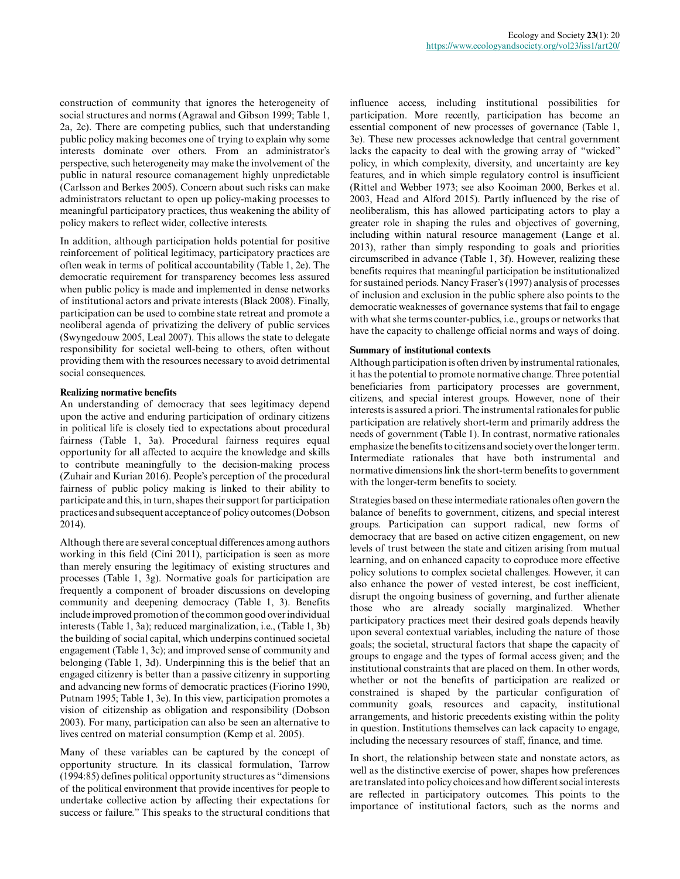construction of community that ignores the heterogeneity of social structures and norms (Agrawal and Gibson 1999; Table 1, 2a, 2c). There are competing publics, such that understanding public policy making becomes one of trying to explain why some interests dominate over others. From an administrator's perspective, such heterogeneity may make the involvement of the public in natural resource comanagement highly unpredictable (Carlsson and Berkes 2005). Concern about such risks can make administrators reluctant to open up policy-making processes to meaningful participatory practices, thus weakening the ability of policy makers to reflect wider, collective interests.

In addition, although participation holds potential for positive reinforcement of political legitimacy, participatory practices are often weak in terms of political accountability (Table 1, 2e). The democratic requirement for transparency becomes less assured when public policy is made and implemented in dense networks of institutional actors and private interests (Black 2008). Finally, participation can be used to combine state retreat and promote a neoliberal agenda of privatizing the delivery of public services (Swyngedouw 2005, Leal 2007). This allows the state to delegate responsibility for societal well-being to others, often without providing them with the resources necessary to avoid detrimental social consequences.

## **Realizing normative benefits**

An understanding of democracy that sees legitimacy depend upon the active and enduring participation of ordinary citizens in political life is closely tied to expectations about procedural fairness (Table 1, 3a). Procedural fairness requires equal opportunity for all affected to acquire the knowledge and skills to contribute meaningfully to the decision-making process (Zuhair and Kurian 2016). People's perception of the procedural fairness of public policy making is linked to their ability to participate and this, in turn, shapes their support for participation practices and subsequent acceptance of policy outcomes (Dobson 2014).

Although there are several conceptual differences among authors working in this field (Cini 2011), participation is seen as more than merely ensuring the legitimacy of existing structures and processes (Table 1, 3g). Normative goals for participation are frequently a component of broader discussions on developing community and deepening democracy (Table 1, 3). Benefits include improved promotion of the common good over individual interests (Table 1, 3a); reduced marginalization, i.e., (Table 1, 3b) the building of social capital, which underpins continued societal engagement (Table 1, 3c); and improved sense of community and belonging (Table 1, 3d). Underpinning this is the belief that an engaged citizenry is better than a passive citizenry in supporting and advancing new forms of democratic practices (Fiorino 1990, Putnam 1995; Table 1, 3e). In this view, participation promotes a vision of citizenship as obligation and responsibility (Dobson 2003). For many, participation can also be seen an alternative to lives centred on material consumption (Kemp et al. 2005).

Many of these variables can be captured by the concept of opportunity structure. In its classical formulation, Tarrow (1994:85) defines political opportunity structures as "dimensions of the political environment that provide incentives for people to undertake collective action by affecting their expectations for success or failure." This speaks to the structural conditions that

influence access, including institutional possibilities for participation. More recently, participation has become an essential component of new processes of governance (Table 1, 3e). These new processes acknowledge that central government lacks the capacity to deal with the growing array of "wicked" policy, in which complexity, diversity, and uncertainty are key features, and in which simple regulatory control is insufficient (Rittel and Webber 1973; see also Kooiman 2000, Berkes et al. 2003, Head and Alford 2015). Partly influenced by the rise of neoliberalism, this has allowed participating actors to play a greater role in shaping the rules and objectives of governing, including within natural resource management (Lange et al. 2013), rather than simply responding to goals and priorities circumscribed in advance (Table 1, 3f). However, realizing these benefits requires that meaningful participation be institutionalized for sustained periods. Nancy Fraser's (1997) analysis of processes of inclusion and exclusion in the public sphere also points to the democratic weaknesses of governance systems that fail to engage with what she terms counter-publics, *i.e.*, groups or networks that have the capacity to challenge official norms and ways of doing.

## **Summary of institutional contexts**

Although participation is often driven by instrumental rationales, it has the potential to promote normative change. Three potential beneficiaries from participatory processes are government, citizens, and special interest groups. However, none of their interests is assured a priori. The instrumental rationales for public participation are relatively short-term and primarily address the needs of government (Table 1). In contrast, normative rationales emphasize the benefits to citizens and society over the longer term. Intermediate rationales that have both instrumental and normative dimensions link the short-term benefits to government with the longer-term benefits to society.

Strategies based on these intermediate rationales often govern the balance of benefits to government, citizens, and special interest groups. Participation can support radical, new forms of democracy that are based on active citizen engagement, on new levels of trust between the state and citizen arising from mutual learning, and on enhanced capacity to coproduce more effective policy solutions to complex societal challenges. However, it can also enhance the power of vested interest, be cost inefficient, disrupt the ongoing business of governing, and further alienate those who are already socially marginalized. Whether participatory practices meet their desired goals depends heavily upon several contextual variables, including the nature of those goals; the societal, structural factors that shape the capacity of groups to engage and the types of formal access given; and the institutional constraints that are placed on them. In other words, whether or not the benefits of participation are realized or constrained is shaped by the particular configuration of community goals, resources and capacity, institutional arrangements, and historic precedents existing within the polity in question. Institutions themselves can lack capacity to engage, including the necessary resources of staff, finance, and time.

In short, the relationship between state and nonstate actors, as well as the distinctive exercise of power, shapes how preferences are translated into policy choices and how different social interests are reflected in participatory outcomes. This points to the importance of institutional factors, such as the norms and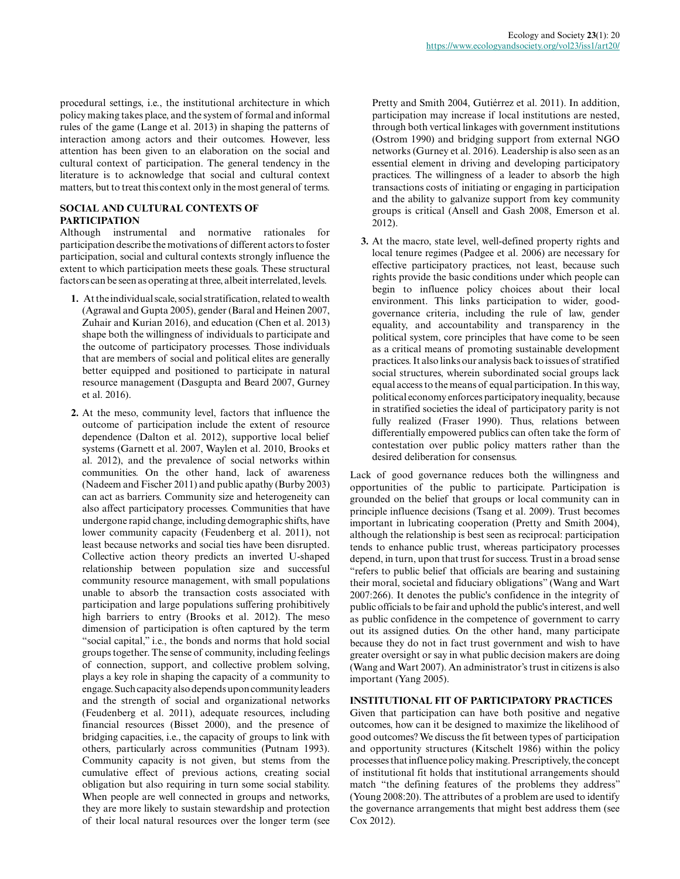procedural settings, i.e., the institutional architecture in which policy making takes place, and the system of formal and informal rules of the game (Lange et al. 2013) in shaping the patterns of interaction among actors and their outcomes. However, less attention has been given to an elaboration on the social and cultural context of participation. The general tendency in the literature is to acknowledge that social and cultural context matters, but to treat this context only in the most general of terms.

## **SOCIAL AND CULTURAL CONTEXTS OF PARTICIPATION**

Although instrumental and normative rationales for participation describe the motivations of different actors to foster participation, social and cultural contexts strongly influence the extent to which participation meets these goals. These structural factors can be seen as operating at three, albeit interrelated, levels.

- **1.** At the individual scale, social stratification, related to wealth (Agrawal and Gupta 2005), gender (Baral and Heinen 2007, Zuhair and Kurian 2016), and education (Chen et al. 2013) shape both the willingness of individuals to participate and the outcome of participatory processes. Those individuals that are members of social and political elites are generally better equipped and positioned to participate in natural resource management (Dasgupta and Beard 2007, Gurney et al. 2016).
- **2.** At the meso, community level, factors that influence the outcome of participation include the extent of resource dependence (Dalton et al. 2012), supportive local belief systems (Garnett et al. 2007, Waylen et al. 2010, Brooks et al. 2012), and the prevalence of social networks within communities. On the other hand, lack of awareness (Nadeem and Fischer 2011) and public apathy (Burby 2003) can act as barriers. Community size and heterogeneity can also affect participatory processes. Communities that have undergone rapid change, including demographic shifts, have lower community capacity (Feudenberg et al. 2011), not least because networks and social ties have been disrupted. Collective action theory predicts an inverted U-shaped relationship between population size and successful community resource management, with small populations unable to absorb the transaction costs associated with participation and large populations suffering prohibitively high barriers to entry (Brooks et al. 2012). The meso dimension of participation is often captured by the term "social capital," i.e., the bonds and norms that hold social groups together. The sense of community, including feelings of connection, support, and collective problem solving, plays a key role in shaping the capacity of a community to engage. Such capacity also depends upon community leaders and the strength of social and organizational networks (Feudenberg et al. 2011), adequate resources, including financial resources (Bisset 2000), and the presence of bridging capacities, i.e., the capacity of groups to link with others, particularly across communities (Putnam 1993). Community capacity is not given, but stems from the cumulative effect of previous actions, creating social obligation but also requiring in turn some social stability. When people are well connected in groups and networks, they are more likely to sustain stewardship and protection of their local natural resources over the longer term (see

Pretty and Smith 2004, Gutiérrez et al. 2011). In addition, participation may increase if local institutions are nested, through both vertical linkages with government institutions (Ostrom 1990) and bridging support from external NGO networks (Gurney et al. 2016). Leadership is also seen as an essential element in driving and developing participatory practices. The willingness of a leader to absorb the high transactions costs of initiating or engaging in participation and the ability to galvanize support from key community groups is critical (Ansell and Gash 2008, Emerson et al. 2012).

**3.** At the macro, state level, well-defined property rights and local tenure regimes (Padgee et al. 2006) are necessary for effective participatory practices, not least, because such rights provide the basic conditions under which people can begin to influence policy choices about their local environment. This links participation to wider, goodgovernance criteria, including the rule of law, gender equality, and accountability and transparency in the political system, core principles that have come to be seen as a critical means of promoting sustainable development practices. It also links our analysis back to issues of stratified social structures, wherein subordinated social groups lack equal access to the means of equal participation. In this way, political economy enforces participatory inequality, because in stratified societies the ideal of participatory parity is not fully realized (Fraser 1990). Thus, relations between differentially empowered publics can often take the form of contestation over public policy matters rather than the desired deliberation for consensus.

Lack of good governance reduces both the willingness and opportunities of the public to participate. Participation is grounded on the belief that groups or local community can in principle influence decisions (Tsang et al. 2009). Trust becomes important in lubricating cooperation (Pretty and Smith 2004), although the relationship is best seen as reciprocal: participation tends to enhance public trust, whereas participatory processes depend, in turn, upon that trust for success. Trust in a broad sense "refers to public belief that officials are bearing and sustaining their moral, societal and fiduciary obligations" (Wang and Wart 2007:266). It denotes the public's confidence in the integrity of public officials to be fair and uphold the public's interest, and well as public confidence in the competence of government to carry out its assigned duties. On the other hand, many participate because they do not in fact trust government and wish to have greater oversight or say in what public decision makers are doing (Wang and Wart 2007). An administrator's trust in citizens is also important (Yang 2005).

## **INSTITUTIONAL FIT OF PARTICIPATORY PRACTICES**

Given that participation can have both positive and negative outcomes, how can it be designed to maximize the likelihood of good outcomes? We discuss the fit between types of participation and opportunity structures (Kitschelt 1986) within the policy processes that influence policy making. Prescriptively, the concept of institutional fit holds that institutional arrangements should match "the defining features of the problems they address" (Young 2008:20). The attributes of a problem are used to identify the governance arrangements that might best address them (see Cox 2012).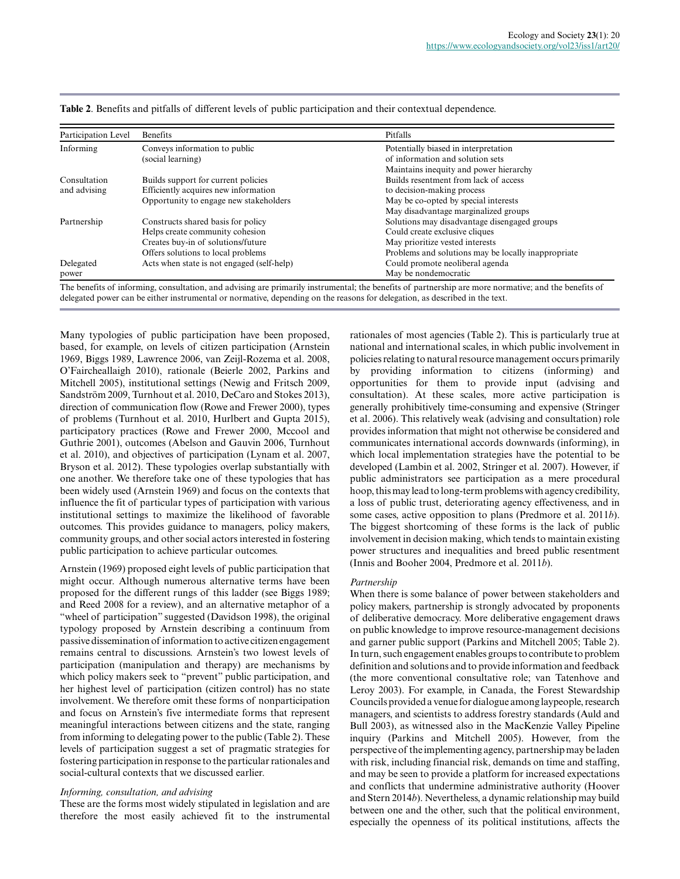| Participation Level | Benefits                                   | Pitfalls                                            |
|---------------------|--------------------------------------------|-----------------------------------------------------|
| Informing           | Conveys information to public              | Potentially biased in interpretation                |
|                     | (social learning)                          | of information and solution sets                    |
|                     |                                            | Maintains inequity and power hierarchy              |
| Consultation        | Builds support for current policies        | Builds resentment from lack of access               |
| and advising        | Efficiently acquires new information       | to decision-making process                          |
|                     | Opportunity to engage new stakeholders     | May be co-opted by special interests                |
|                     |                                            | May disadvantage marginalized groups                |
| Partnership         | Constructs shared basis for policy         | Solutions may disadvantage disengaged groups        |
|                     | Helps create community cohesion            | Could create exclusive cliques                      |
|                     | Creates buy-in of solutions/future         | May prioritize vested interests                     |
|                     | Offers solutions to local problems         | Problems and solutions may be locally inappropriate |
| Delegated           | Acts when state is not engaged (self-help) | Could promote neoliberal agenda                     |
| power               |                                            | May be nondemocratic                                |

**Table 2**. Benefits and pitfalls of different levels of public participation and their contextual dependence.

The benefits of informing, consultation, and advising are primarily instrumental; the benefits of partnership are more normative; and the benefits of delegated power can be either instrumental or normative, depending on the reasons for delegation, as described in the text.

Many typologies of public participation have been proposed, based, for example, on levels of citizen participation (Arnstein 1969, Biggs 1989, Lawrence 2006, van Zeijl-Rozema et al. 2008, O'Faircheallaigh 2010), rationale (Beierle 2002, Parkins and Mitchell 2005), institutional settings (Newig and Fritsch 2009, Sandström 2009, Turnhout et al. 2010, DeCaro and Stokes 2013), direction of communication flow (Rowe and Frewer 2000), types of problems (Turnhout et al. 2010, Hurlbert and Gupta 2015), participatory practices (Rowe and Frewer 2000, Mccool and Guthrie 2001), outcomes (Abelson and Gauvin 2006, Turnhout et al. 2010), and objectives of participation (Lynam et al. 2007, Bryson et al. 2012). These typologies overlap substantially with one another. We therefore take one of these typologies that has been widely used (Arnstein 1969) and focus on the contexts that influence the fit of particular types of participation with various institutional settings to maximize the likelihood of favorable outcomes. This provides guidance to managers, policy makers, community groups, and other social actors interested in fostering public participation to achieve particular outcomes.

Arnstein (1969) proposed eight levels of public participation that might occur. Although numerous alternative terms have been proposed for the different rungs of this ladder (see Biggs 1989; and Reed 2008 for a review), and an alternative metaphor of a "wheel of participation" suggested (Davidson 1998), the original typology proposed by Arnstein describing a continuum from passive dissemination of information to active citizen engagement remains central to discussions. Arnstein's two lowest levels of participation (manipulation and therapy) are mechanisms by which policy makers seek to "prevent" public participation, and her highest level of participation (citizen control) has no state involvement. We therefore omit these forms of nonparticipation and focus on Arnstein's five intermediate forms that represent meaningful interactions between citizens and the state, ranging from informing to delegating power to the public (Table 2). These levels of participation suggest a set of pragmatic strategies for fostering participation in response to the particular rationales and social-cultural contexts that we discussed earlier.

#### *Informing, consultation, and advising*

These are the forms most widely stipulated in legislation and are therefore the most easily achieved fit to the instrumental rationales of most agencies (Table 2). This is particularly true at national and international scales, in which public involvement in policies relating to natural resource management occurs primarily by providing information to citizens (informing) and opportunities for them to provide input (advising and consultation). At these scales, more active participation is generally prohibitively time-consuming and expensive (Stringer et al. 2006). This relatively weak (advising and consultation) role provides information that might not otherwise be considered and communicates international accords downwards (informing), in which local implementation strategies have the potential to be developed (Lambin et al. 2002, Stringer et al. 2007). However, if public administrators see participation as a mere procedural hoop, this may lead to long-term problems with agency credibility, a loss of public trust, deteriorating agency effectiveness, and in some cases, active opposition to plans (Predmore et al. 2011*b*). The biggest shortcoming of these forms is the lack of public involvement in decision making, which tends to maintain existing power structures and inequalities and breed public resentment (Innis and Booher 2004, Predmore et al. 2011*b*).

## *Partnership*

When there is some balance of power between stakeholders and policy makers, partnership is strongly advocated by proponents of deliberative democracy. More deliberative engagement draws on public knowledge to improve resource-management decisions and garner public support (Parkins and Mitchell 2005; Table 2). In turn, such engagement enables groups to contribute to problem definition and solutions and to provide information and feedback (the more conventional consultative role; van Tatenhove and Leroy 2003). For example, in Canada, the Forest Stewardship Councils provided a venue for dialogue among laypeople, research managers, and scientists to address forestry standards (Auld and Bull 2003), as witnessed also in the MacKenzie Valley Pipeline inquiry (Parkins and Mitchell 2005). However, from the perspective of the implementing agency, partnership may be laden with risk, including financial risk, demands on time and staffing, and may be seen to provide a platform for increased expectations and conflicts that undermine administrative authority (Hoover and Stern 2014*b*). Nevertheless, a dynamic relationship may build between one and the other, such that the political environment, especially the openness of its political institutions, affects the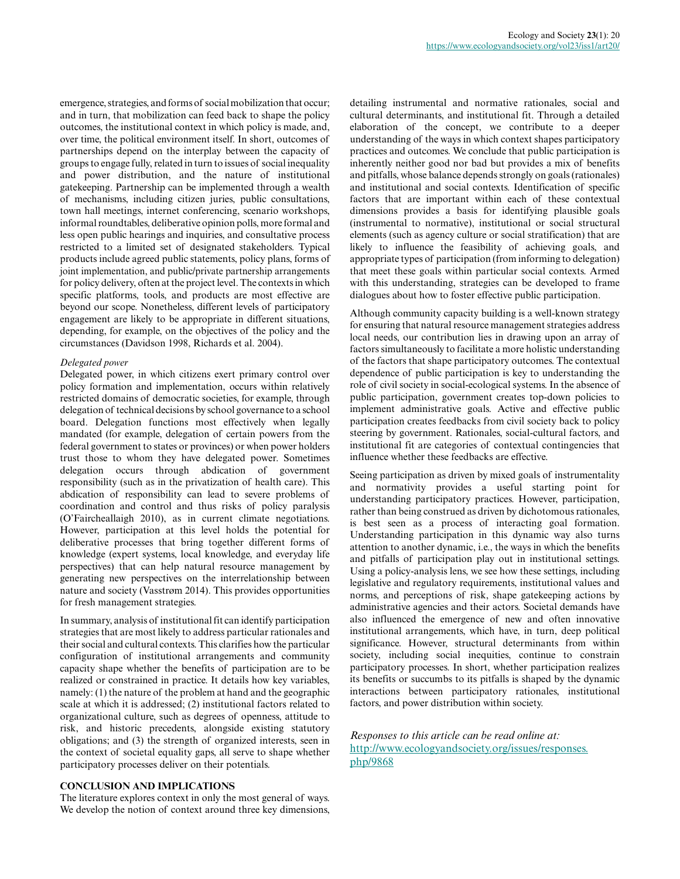emergence, strategies, and forms of social mobilization that occur; and in turn, that mobilization can feed back to shape the policy outcomes, the institutional context in which policy is made, and, over time, the political environment itself. In short, outcomes of partnerships depend on the interplay between the capacity of groups to engage fully, related in turn to issues of social inequality and power distribution, and the nature of institutional gatekeeping. Partnership can be implemented through a wealth of mechanisms, including citizen juries, public consultations, town hall meetings, internet conferencing, scenario workshops, informal roundtables, deliberative opinion polls, more formal and less open public hearings and inquiries, and consultative process restricted to a limited set of designated stakeholders. Typical products include agreed public statements, policy plans, forms of joint implementation, and public/private partnership arrangements for policy delivery, often at the project level. The contexts in which specific platforms, tools, and products are most effective are beyond our scope. Nonetheless, different levels of participatory engagement are likely to be appropriate in different situations, depending, for example, on the objectives of the policy and the circumstances (Davidson 1998, Richards et al. 2004).

## *Delegated power*

Delegated power, in which citizens exert primary control over policy formation and implementation, occurs within relatively restricted domains of democratic societies, for example, through delegation of technical decisions by school governance to a school board. Delegation functions most effectively when legally mandated (for example, delegation of certain powers from the federal government to states or provinces) or when power holders trust those to whom they have delegated power. Sometimes delegation occurs through abdication of government responsibility (such as in the privatization of health care). This abdication of responsibility can lead to severe problems of coordination and control and thus risks of policy paralysis (O'Faircheallaigh 2010), as in current climate negotiations. However, participation at this level holds the potential for deliberative processes that bring together different forms of knowledge (expert systems, local knowledge, and everyday life perspectives) that can help natural resource management by generating new perspectives on the interrelationship between nature and society (Vasstrøm 2014). This provides opportunities for fresh management strategies.

In summary, analysis of institutional fit can identify participation strategies that are most likely to address particular rationales and their social and cultural contexts. This clarifies how the particular configuration of institutional arrangements and community capacity shape whether the benefits of participation are to be realized or constrained in practice. It details how key variables, namely: (1) the nature of the problem at hand and the geographic scale at which it is addressed; (2) institutional factors related to organizational culture, such as degrees of openness, attitude to risk, and historic precedents, alongside existing statutory obligations; and (3) the strength of organized interests, seen in the context of societal equality gaps, all serve to shape whether participatory processes deliver on their potentials.

## **CONCLUSION AND IMPLICATIONS**

The literature explores context in only the most general of ways. We develop the notion of context around three key dimensions, detailing instrumental and normative rationales, social and cultural determinants, and institutional fit. Through a detailed elaboration of the concept, we contribute to a deeper understanding of the ways in which context shapes participatory practices and outcomes. We conclude that public participation is inherently neither good nor bad but provides a mix of benefits and pitfalls, whose balance depends strongly on goals (rationales) and institutional and social contexts. Identification of specific factors that are important within each of these contextual dimensions provides a basis for identifying plausible goals (instrumental to normative), institutional or social structural elements (such as agency culture or social stratification) that are likely to influence the feasibility of achieving goals, and appropriate types of participation (from informing to delegation) that meet these goals within particular social contexts. Armed with this understanding, strategies can be developed to frame dialogues about how to foster effective public participation.

Although community capacity building is a well-known strategy for ensuring that natural resource management strategies address local needs, our contribution lies in drawing upon an array of factors simultaneously to facilitate a more holistic understanding of the factors that shape participatory outcomes. The contextual dependence of public participation is key to understanding the role of civil society in social-ecological systems. In the absence of public participation, government creates top-down policies to implement administrative goals. Active and effective public participation creates feedbacks from civil society back to policy steering by government. Rationales, social-cultural factors, and institutional fit are categories of contextual contingencies that influence whether these feedbacks are effective.

Seeing participation as driven by mixed goals of instrumentality and normativity provides a useful starting point for understanding participatory practices. However, participation, rather than being construed as driven by dichotomous rationales, is best seen as a process of interacting goal formation. Understanding participation in this dynamic way also turns attention to another dynamic, i.e., the ways in which the benefits and pitfalls of participation play out in institutional settings. Using a policy-analysis lens, we see how these settings, including legislative and regulatory requirements, institutional values and norms, and perceptions of risk, shape gatekeeping actions by administrative agencies and their actors. Societal demands have also influenced the emergence of new and often innovative institutional arrangements, which have, in turn, deep political significance. However, structural determinants from within society, including social inequities, continue to constrain participatory processes. In short, whether participation realizes its benefits or succumbs to its pitfalls is shaped by the dynamic interactions between participatory rationales, institutional factors, and power distribution within society.

## *Responses to this article can be read online at:* [http://www.ecologyandsociety.org/issues/responses.](http://www.ecologyandsociety.org/issues/responses.php/9868) [php/9868](http://www.ecologyandsociety.org/issues/responses.php/9868)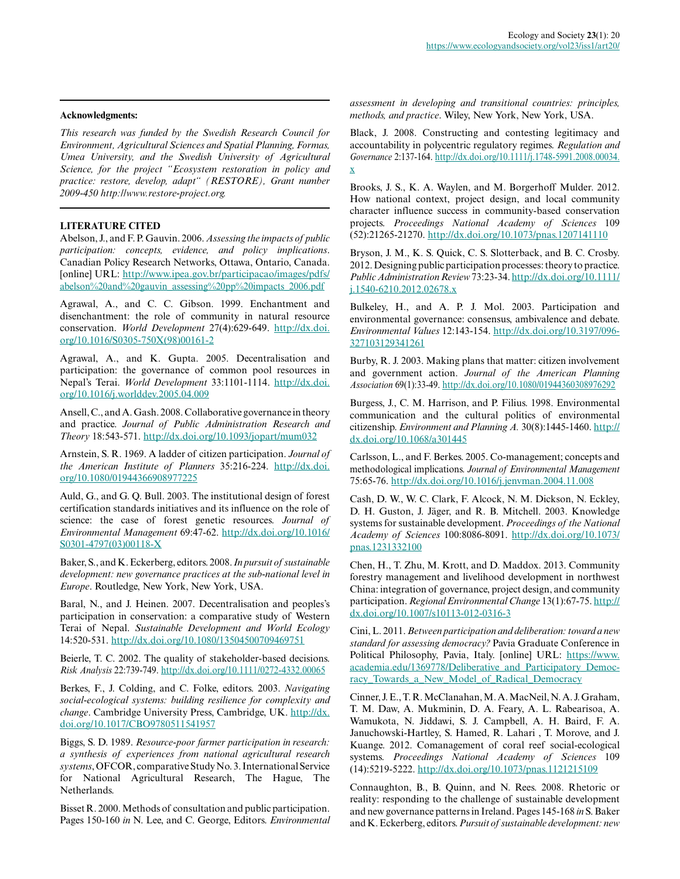#### **Acknowledgments:**

*This research was funded by the Swedish Research Council for Environment, Agricultural Sciences and Spatial Planning, Formas, Umea University, and the Swedish University of Agricultural Science, for the project "Ecosystem restoration in policy and practice: restore, develop, adapt" (RESTORE), Grant number 2009-450 http://www.restore-project.org.*

#### **LITERATURE CITED**

Abelson, J., and F. P. Gauvin. 2006. *Assessing the impacts of public participation: concepts, evidence, and policy implications*. Canadian Policy Research Networks, Ottawa, Ontario, Canada. [online] URL: [http://www.ipea.gov.br/participacao/images/pdfs/](http://www.ipea.gov.br/participacao/images/pdfs/abelson%20and%20gauvin_assessing%20pp%20impacts_2006.pdf) [abelson%20and%20gauvin\\_assessing%20pp%20impacts\\_2006.pdf](http://www.ipea.gov.br/participacao/images/pdfs/abelson%20and%20gauvin_assessing%20pp%20impacts_2006.pdf)

Agrawal, A., and C. C. Gibson. 1999. Enchantment and disenchantment: the role of community in natural resource conservation. *World Development* 27(4):629-649. [http://dx.doi.](http://dx.doi.org/10.1016%2FS0305-750X%2898%2900161-2) [org/10.1016/S0305-750X\(98\)00161-2](http://dx.doi.org/10.1016%2FS0305-750X%2898%2900161-2) 

Agrawal, A., and K. Gupta. 2005. Decentralisation and participation: the governance of common pool resources in Nepal's Terai. *World Development* 33:1101-1114. [http://dx.doi.](http://dx.doi.org/10.1016%2Fj.worlddev.2005.04.009) [org/10.1016/j.worlddev.2005.04.009](http://dx.doi.org/10.1016%2Fj.worlddev.2005.04.009)

Ansell, C., and A. Gash. 2008. Collaborative governance in theory and practice. *Journal of Public Administration Research and Theory* 18:543-571. [http://dx.doi.org/10.1093/jopart/mum032](http://dx.doi.org/10.1093%2Fjopart%2Fmum032)

Arnstein, S. R. 1969. A ladder of citizen participation. *Journal of the American Institute of Planners* 35:216-224. [http://dx.doi.](http://dx.doi.org/10.1080%2F01944366908977225) [org/10.1080/01944366908977225](http://dx.doi.org/10.1080%2F01944366908977225) 

Auld, G., and G. Q. Bull. 2003. The institutional design of forest certification standards initiatives and its influence on the role of science: the case of forest genetic resources. *Journal of Environmental Management* 69:47-62. [http://dx.doi.org/10.1016/](http://dx.doi.org/10.1016%2FS0301-4797%2803%2900118-X) [S0301-4797\(03\)00118-X](http://dx.doi.org/10.1016%2FS0301-4797%2803%2900118-X)

Baker, S., and K. Eckerberg, editors. 2008. *In pursuit of sustainable development: new governance practices at the sub-national level in Europe*. Routledge, New York, New York, USA.

Baral, N., and J. Heinen. 2007. Decentralisation and peoples's participation in conservation: a comparative study of Western Terai of Nepal. *Sustainable Development and World Ecology* 14:520-531. [http://dx.doi.org/10.1080/13504500709469751](http://dx.doi.org/10.1080%2F13504500709469751) 

Beierle, T. C. 2002. The quality of stakeholder-based decisions. *Risk Analysis* 22:739-749. [http://dx.doi.org/10.1111/0272-4332.00065](http://dx.doi.org/10.1111%2F0272-4332.00065) 

Berkes, F., J. Colding, and C. Folke, editors. 2003. *Navigating social-ecological systems: building resilience for complexity and change*. Cambridge University Press, Cambridge, UK. [http://dx.](http://dx.doi.org/10.1017%2FCBO9780511541957) [doi.org/10.1017/CBO9780511541957](http://dx.doi.org/10.1017%2FCBO9780511541957) 

Biggs, S. D. 1989. *Resource-poor farmer participation in research: a synthesis of experiences from national agricultural research systems*, OFCOR, comparative Study No. 3. International Service for National Agricultural Research, The Hague, The Netherlands.

Bisset R. 2000. Methods of consultation and public participation. Pages 150-160 *in* N. Lee, and C. George, Editors. *Environmental* *assessment in developing and transitional countries: principles, methods, and practice*. Wiley, New York, New York, USA.

Black, J. 2008. Constructing and contesting legitimacy and accountability in polycentric regulatory regimes. *Regulation and Governance* 2:137-164. [http://dx.doi.org/10.1111/j.1748-5991.2008.00034.](http://dx.doi.org/10.1111%2Fj.1748-5991.2008.00034.x) [x](http://dx.doi.org/10.1111%2Fj.1748-5991.2008.00034.x) 

Brooks, J. S., K. A. Waylen, and M. Borgerhoff Mulder. 2012. How national context, project design, and local community character influence success in community-based conservation projects. *Proceedings National Academy of Sciences* 109 (52):21265-21270. [http://dx.doi.org/10.1073/pnas.1207141110](http://dx.doi.org/10.1073%2Fpnas.1207141110)

Bryson, J. M., K. S. Quick, C. S. Slotterback, and B. C. Crosby. 2012. Designing public participation processes: theory to practice. *Public Administration Review* 73:23-34. [http://dx.doi.org/10.1111/](http://dx.doi.org/10.1111%2Fj.1540-6210.2012.02678.x) [j.1540-6210.2012.02678.x](http://dx.doi.org/10.1111%2Fj.1540-6210.2012.02678.x)

Bulkeley, H., and A. P. J. Mol. 2003. Participation and environmental governance: consensus, ambivalence and debate. *Environmental Values* 12:143-154. [http://dx.doi.org/10.3197/096](http://dx.doi.org/10.3197%2F096327103129341261) [327103129341261](http://dx.doi.org/10.3197%2F096327103129341261)

Burby, R. J. 2003. Making plans that matter: citizen involvement and government action. *Journal of the American Planning Association* 69(1):33-49. [http://dx.doi.org/10.1080/01944360308976292](http://dx.doi.org/10.1080%2F01944360308976292) 

Burgess, J., C. M. Harrison, and P. Filius. 1998. Environmental communication and the cultural politics of environmental citizenship. *Environment and Planning A.* 30(8):1445-1460. [http://](http://dx.doi.org/10.1068%2Fa301445) [dx.doi.org/10.1068/a301445](http://dx.doi.org/10.1068%2Fa301445)

Carlsson, L., and F. Berkes. 2005. Co-management; concepts and methodological implications. *Journal of Environmental Management* 75:65-76. [http://dx.doi.org/10.1016/j.jenvman.2004.11.008](http://dx.doi.org/10.1016%2Fj.jenvman.2004.11.008) 

Cash, D. W., W. C. Clark, F. Alcock, N. M. Dickson, N. Eckley, D. H. Guston, J. Jäger, and R. B. Mitchell. 2003. Knowledge systems for sustainable development. *Proceedings of the National Academy of Sciences* 100:8086-8091. [http://dx.doi.org/10.1073/](http://dx.doi.org/10.1073%2Fpnas.1231332100) [pnas.1231332100](http://dx.doi.org/10.1073%2Fpnas.1231332100) 

Chen, H., T. Zhu, M. Krott, and D. Maddox. 2013. Community forestry management and livelihood development in northwest China: integration of governance, project design, and community participation. *Regional Environmental Change* 13(1):67-75. [http://](http://dx.doi.org/10.1007%2Fs10113-012-0316-3) [dx.doi.org/10.1007/s10113-012-0316-3](http://dx.doi.org/10.1007%2Fs10113-012-0316-3) 

Cini, L. 2011. *Between participation and deliberation: toward a new standard for assessing democracy?* Pavia Graduate Conference in Political Philosophy, Pavia, Italy. [online] URL: [https://www.](https://www.academia.edu/1369778/Deliberative_and_Participatory_Democracy_Towards_a_New_Model_of_Radical_Democracy) [academia.edu/1369778/Deliberative\\_and\\_Participatory\\_Democ](https://www.academia.edu/1369778/Deliberative_and_Participatory_Democracy_Towards_a_New_Model_of_Radical_Democracy)racy\_Towards\_a\_New\_Model\_of\_Radical\_Democracy

Cinner, J. E., T. R. McClanahan, M. A. MacNeil, N. A. J. Graham, T. M. Daw, A. Mukminin, D. A. Feary, A. L. Rabearisoa, A. Wamukota, N. Jiddawi, S. J. Campbell, A. H. Baird, F. A. Januchowski-Hartley, S. Hamed, R. Lahari , T. Morove, and J. Kuange. 2012. Comanagement of coral reef social-ecological systems. *Proceedings National Academy of Sciences* 109 (14):5219-5222. [http://dx.doi.org/10.1073/pnas.1121215109](http://dx.doi.org/10.1073%2Fpnas.1121215109)

Connaughton, B., B. Quinn, and N. Rees. 2008. Rhetoric or reality: responding to the challenge of sustainable development and new governance patterns in Ireland. Pages 145-168 *in* S. Baker and K. Eckerberg, editors. *Pursuit of sustainable development: new*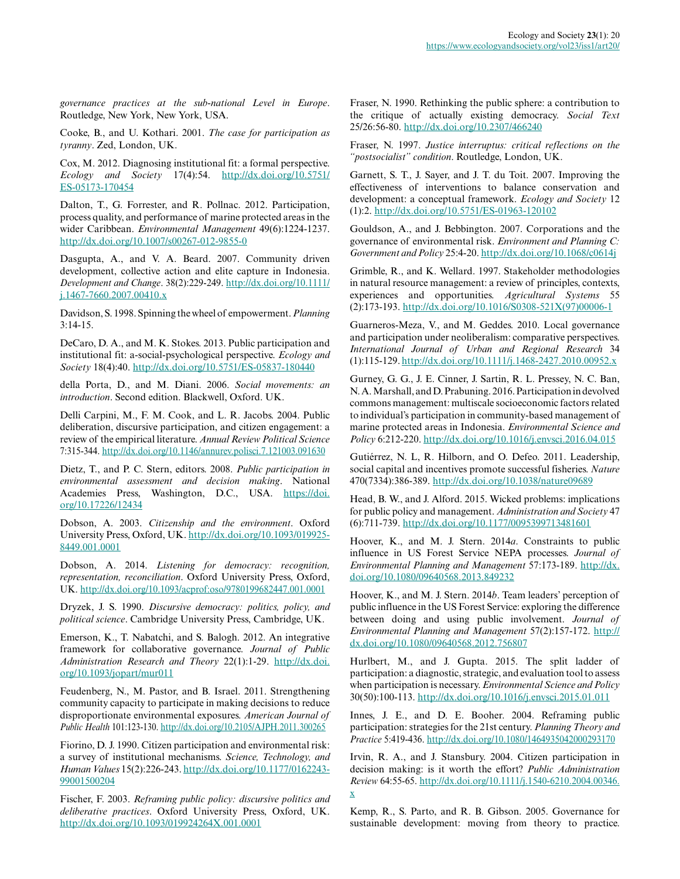*governance practices at the sub-national Level in Europe*. Routledge, New York, New York, USA.

Cooke, B., and U. Kothari. 2001. *The case for participation as tyranny*. Zed, London, UK.

Cox, M. 2012. Diagnosing institutional fit: a formal perspective. *Ecology and Society* 17(4):54. [http://dx.doi.org/10.5751/](http://dx.doi.org/10.5751%2FES-05173-170454) [ES-05173-170454](http://dx.doi.org/10.5751%2FES-05173-170454)

Dalton, T., G. Forrester, and R. Pollnac. 2012. Participation, process quality, and performance of marine protected areas in the wider Caribbean. *Environmental Management* 49(6):1224-1237. [http://dx.doi.org/10.1007/s00267-012-9855-0](http://dx.doi.org/10.1007%2Fs00267-012-9855-0)

Dasgupta, A., and V. A. Beard. 2007. Community driven development, collective action and elite capture in Indonesia. *Development and Change*. 38(2):229-249. [http://dx.doi.org/10.1111/](http://dx.doi.org/10.1111%2Fj.1467-7660.2007.00410.x) [j.1467-7660.2007.00410.x](http://dx.doi.org/10.1111%2Fj.1467-7660.2007.00410.x)

Davidson, S. 1998. Spinning the wheel of empowerment. *Planning* 3:14-15.

DeCaro, D. A., and M. K. Stokes. 2013. Public participation and institutional fit: a-social-psychological perspective. *Ecology and Society* 18(4):40. [http://dx.doi.org/10.5751/ES-05837-180440](http://dx.doi.org/10.5751%2FES-05837-180440)

della Porta, D., and M. Diani. 2006. *Social movements: an introduction*. Second edition. Blackwell, Oxford. UK.

Delli Carpini, M., F. M. Cook, and L. R. Jacobs. 2004. Public deliberation, discursive participation, and citizen engagement: a review of the empirical literature. *Annual Review Political Science* 7:315-344. [http://dx.doi.org/10.1146/annurev.polisci.7.121003.091630](http://dx.doi.org/10.1146%2Fannurev.polisci.7.121003.091630) 

Dietz, T., and P. C. Stern, editors. 2008. *Public participation in environmental assessment and decision making*. National Academies Press, Washington, D.C., USA. [https://doi.](https://doi.org/10.17226/12434) [org/10.17226/12434](https://doi.org/10.17226/12434)

Dobson, A. 2003. *Citizenship and the environment*. Oxford University Press, Oxford, UK. [http://dx.doi.org/10.1093/019925](http://dx.doi.org/10.1093%2F0199258449.001.0001) [8449.001.0001](http://dx.doi.org/10.1093%2F0199258449.001.0001)

Dobson, A. 2014. *Listening for democracy: recognition, representation, reconciliation*. Oxford University Press, Oxford, UK. [http://dx.doi.org/10.1093/acprof:oso/9780199682447.001.0001](http://dx.doi.org/10.1093%2Facprof%3Aoso%2F9780199682447.001.0001) 

Dryzek, J. S. 1990. *Discursive democracy: politics, policy, and political science*. Cambridge University Press, Cambridge, UK.

Emerson, K., T. Nabatchi, and S. Balogh. 2012. An integrative framework for collaborative governance. *Journal of Public Administration Research and Theory* 22(1):1-29. [http://dx.doi.](http://dx.doi.org/10.1093%2Fjopart%2Fmur011) [org/10.1093/jopart/mur011](http://dx.doi.org/10.1093%2Fjopart%2Fmur011)

Feudenberg, N., M. Pastor, and B. Israel. 2011. Strengthening community capacity to participate in making decisions to reduce disproportionate environmental exposures. *American Journal of Public Health* 101:123-130. [http://dx.doi.org/10.2105/AJPH.2011.300265](http://dx.doi.org/10.2105%2FAJPH.2011.300265)

Fiorino, D. J. 1990. Citizen participation and environmental risk: a survey of institutional mechanisms. *Science, Technology, and Human Values* 15(2):226-243. [http://dx.doi.org/10.1177/0162243](http://dx.doi.org/10.1177%2F016224399001500204) [99001500204](http://dx.doi.org/10.1177%2F016224399001500204) 

Fischer, F. 2003. *Reframing public policy: discursive politics and deliberative practices*. Oxford University Press, Oxford, UK. [http://dx.doi.org/10.1093/019924264X.001.0001](http://dx.doi.org/10.1093%2F019924264X.001.0001)

Fraser, N. 1990. Rethinking the public sphere: a contribution to the critique of actually existing democracy. *Social Text* 25/26:56-80. [http://dx.doi.org/10.2307/466240](http://dx.doi.org/10.2307%2F466240) 

Fraser, N. 1997. *Justice interruptus: critical reflections on the "postsocialist" condition*. Routledge, London, UK.

Garnett, S. T., J. Sayer, and J. T. du Toit. 2007. Improving the effectiveness of interventions to balance conservation and development: a conceptual framework. *Ecology and Society* 12 (1):2. [http://dx.doi.org/10.5751/ES-01963-120102](http://dx.doi.org/10.5751%2FES-01963-120102) 

Gouldson, A., and J. Bebbington. 2007. Corporations and the governance of environmental risk. *Environment and Planning C: Government and Policy* 25:4-20. [http://dx.doi.org/10.1068/c0614j](http://dx.doi.org/10.1068%2Fc0614j) 

Grimble, R., and K. Wellard. 1997. Stakeholder methodologies in natural resource management: a review of principles, contexts, experiences and opportunities. *Agricultural Systems* 55 (2):173-193. [http://dx.doi.org/10.1016/S0308-521X\(97\)00006-1](http://dx.doi.org/10.1016%2FS0308-521X%2897%2900006-1)

Guarneros-Meza, V., and M. Geddes. 2010. Local governance and participation under neoliberalism: comparative perspectives. *International Journal of Urban and Regional Research* 34 (1):115-129. [http://dx.doi.org/10.1111/j.1468-2427.2010.00952.x](http://dx.doi.org/10.1111%2Fj.1468-2427.2010.00952.x)

Gurney, G. G., J. E. Cinner, J. Sartin, R. L. Pressey, N. C. Ban, N. A. Marshall, and D. Prabuning. 2016. Participation in devolved commons management: multiscale socioeconomic factors related to individual's participation in community-based management of marine protected areas in Indonesia. *Environmental Science and Policy* 6:212-220. [http://dx.doi.org/10.1016/j.envsci.2016.04.015](http://dx.doi.org/10.1016%2Fj.envsci.2016.04.015)

Gutiérrez, N. L, R. Hilborn, and O. Defeo. 2011. Leadership, social capital and incentives promote successful fisheries. *Nature* 470(7334):386-389. [http://dx.doi.org/10.1038/nature09689](http://dx.doi.org/10.1038%2Fnature09689) 

Head, B. W., and J. Alford. 2015. Wicked problems: implications for public policy and management. *Administration and Society* 47 (6):711-739. [http://dx.doi.org/10.1177/0095399713481601](http://dx.doi.org/10.1177%2F0095399713481601) 

Hoover, K., and M. J. Stern. 2014*a*. Constraints to public influence in US Forest Service NEPA processes. *Journal of Environmental Planning and Management* 57:173-189. [http://dx.](http://dx.doi.org/10.1080%2F09640568.2013.849232) [doi.org/10.1080/09640568.2013.849232](http://dx.doi.org/10.1080%2F09640568.2013.849232) 

Hoover, K., and M. J. Stern. 2014*b*. Team leaders' perception of public influence in the US Forest Service: exploring the difference between doing and using public involvement. *Journal of Environmental Planning and Management* 57(2):157-172. [http://](http://dx.doi.org/10.1080%2F09640568.2012.756807) [dx.doi.org/10.1080/09640568.2012.756807](http://dx.doi.org/10.1080%2F09640568.2012.756807) 

Hurlbert, M., and J. Gupta. 2015. The split ladder of participation: a diagnostic, strategic, and evaluation tool to assess when participation is necessary. *Environmental Science and Policy* 30(50):100-113. [http://dx.doi.org/10.1016/j.envsci.2015.01.011](http://dx.doi.org/10.1016%2Fj.envsci.2015.01.011)

Innes, J. E., and D. E. Booher. 2004. Reframing public participation: strategies for the 21st century. *Planning Theory and Practice* 5:419-436. [http://dx.doi.org/10.1080/1464935042000293170](http://dx.doi.org/10.1080%2F1464935042000293170) 

Irvin, R. A., and J. Stansbury. 2004. Citizen participation in decision making: is it worth the effort? *Public Administration Review* 64:55-65. [http://dx.doi.org/10.1111/j.1540-6210.2004.00346.](http://dx.doi.org/10.1111%2Fj.1540-6210.2004.00346.x) [x](http://dx.doi.org/10.1111%2Fj.1540-6210.2004.00346.x) 

Kemp, R., S. Parto, and R. B. Gibson. 2005. Governance for sustainable development: moving from theory to practice.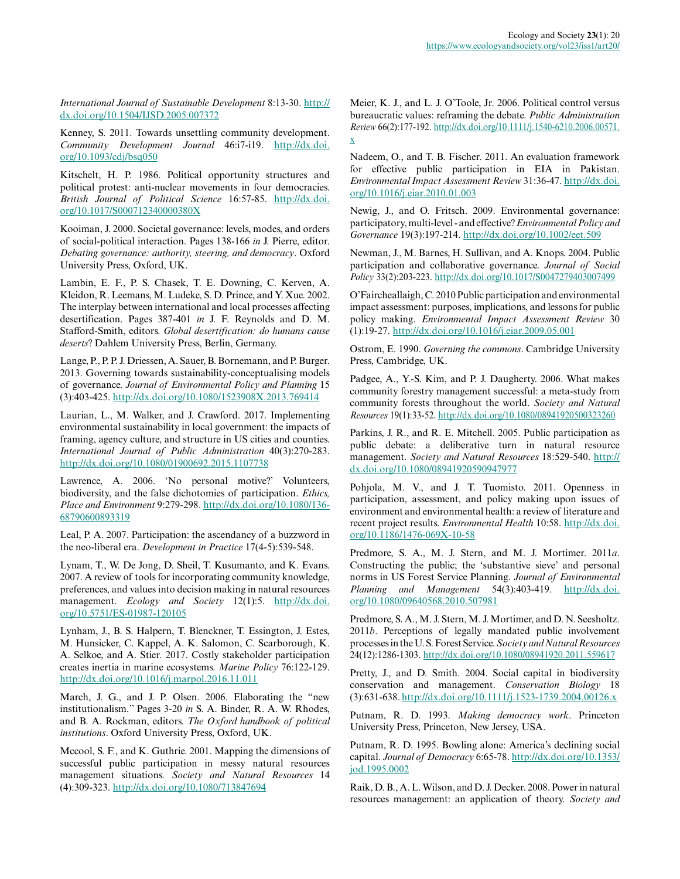*International Journal of Sustainable Development* 8:13-30. [http://](http://dx.doi.org/10.1504%2FIJSD.2005.007372) [dx.doi.org/10.1504/IJSD.2005.007372](http://dx.doi.org/10.1504%2FIJSD.2005.007372)

Kenney, S. 2011. Towards unsettling community development. *Community Development Journal* 46:i7-i19. [http://dx.doi.](http://dx.doi.org/10.1093%2Fcdj%2Fbsq050) [org/10.1093/cdj/bsq050](http://dx.doi.org/10.1093%2Fcdj%2Fbsq050) 

Kitschelt, H. P. 1986. Political opportunity structures and political protest: anti-nuclear movements in four democracies. *British Journal of Political Science* 16:57-85. [http://dx.doi.](http://dx.doi.org/10.1017%2FS000712340000380X) [org/10.1017/S000712340000380X](http://dx.doi.org/10.1017%2FS000712340000380X) 

Kooiman, J. 2000. Societal governance: levels, modes, and orders of social-political interaction. Pages 138-166 *in* J. Pierre, editor. *Debating governance: authority, steering, and democracy*. Oxford University Press, Oxford, UK.

Lambin, E. F., P. S. Chasek, T. E. Downing, C. Kerven, A. Kleidon, R. Leemans, M. Ludeke, S. D. Prince, and Y. Xue. 2002. The interplay between international and local processes affecting desertification. Pages 387-401 *in* J. F. Reynolds and D. M. Stafford-Smith, editors. *Global desertification: do humans cause deserts*? Dahlem University Press, Berlin, Germany.

Lange, P., P. P. J. Driessen, A. Sauer, B. Bornemann, and P. Burger. 2013. Governing towards sustainability-conceptualising models of governance. *Journal of Environmental Policy and Planning* 15 (3):403-425. [http://dx.doi.org/10.1080/1523908X.2013.769414](http://dx.doi.org/10.1080%2F1523908X.2013.769414)

Laurian, L., M. Walker, and J. Crawford. 2017. Implementing environmental sustainability in local government: the impacts of framing, agency culture, and structure in US cities and counties. *International Journal of Public Administration* 40(3):270-283. [http://dx.doi.org/10.1080/01900692.2015.1107738](http://dx.doi.org/10.1080%2F01900692.2015.1107738) 

Lawrence, A. 2006. 'No personal motive?' Volunteers, biodiversity, and the false dichotomies of participation. *Ethics, Place and Environment* 9:279-298. [http://dx.doi.org/10.1080/136](http://dx.doi.org/10.1080%2F13668790600893319) [68790600893319](http://dx.doi.org/10.1080%2F13668790600893319)

Leal, P. A. 2007. Participation: the ascendancy of a buzzword in the neo-liberal era. *Development in Practice* 17(4-5):539-548.

Lynam, T., W. De Jong, D. Sheil, T. Kusumanto, and K. Evans. 2007. A review of tools for incorporating community knowledge, preferences, and values into decision making in natural resources management. *Ecology and Society* 12(1):5. [http://dx.doi.](http://dx.doi.org/10.5751%2FES-01987-120105) [org/10.5751/ES-01987-120105](http://dx.doi.org/10.5751%2FES-01987-120105) 

Lynham, J., B. S. Halpern, T. Blenckner, T. Essington, J. Estes, M. Hunsicker, C. Kappel, A. K. Salomon, C. Scarborough, K. A. Selkoe, and A. Stier. 2017. Costly stakeholder participation creates inertia in marine ecosystems. *Marine Policy* 76:122-129. [http://dx.doi.org/10.1016/j.marpol.2016.11.011](http://dx.doi.org/10.1016%2Fj.marpol.2016.11.011) 

March, J. G., and J. P. Olsen. 2006. Elaborating the "new institutionalism." Pages 3-20 *in* S. A. Binder, R. A. W. Rhodes, and B. A. Rockman, editors. *The Oxford handbook of political institutions*. Oxford University Press, Oxford, UK.

Mccool, S. F., and K. Guthrie. 2001. Mapping the dimensions of successful public participation in messy natural resources management situations. *Society and Natural Resources* 14 (4):309-323. [http://dx.doi.org/10.1080/713847694](http://dx.doi.org/10.1080%2F713847694)

Meier, K. J., and L. J. O'Toole, Jr. 2006. Political control versus bureaucratic values: reframing the debate. *Public Administration Review* 66(2):177-192. [http://dx.doi.org/10.1111/j.1540-6210.2006.00571.](http://dx.doi.org/10.1111%2Fj.1540-6210.2006.00571.x) [x](http://dx.doi.org/10.1111%2Fj.1540-6210.2006.00571.x) 

Nadeem, O., and T. B. Fischer. 2011. An evaluation framework for effective public participation in EIA in Pakistan. *Environmental Impact Assessment Review* 31:36-47. [http://dx.doi.](http://dx.doi.org/10.1016%2Fj.eiar.2010.01.003) [org/10.1016/j.eiar.2010.01.003](http://dx.doi.org/10.1016%2Fj.eiar.2010.01.003) 

Newig, J., and O. Fritsch. 2009. Environmental governance: participatory, multi-level - and effective? *Environmental Policy and Governance* 19(3):197-214. [http://dx.doi.org/10.1002/eet.509](http://dx.doi.org/10.1002%2Feet.509)

Newman, J., M. Barnes, H. Sullivan, and A. Knops. 2004. Public participation and collaborative governance. *Journal of Social Policy* 33(2):203-223. [http://dx.doi.org/10.1017/S0047279403007499](http://dx.doi.org/10.1017%2FS0047279403007499) 

O'Faircheallaigh, C. 2010 Public participation and environmental impact assessment: purposes, implications, and lessons for public policy making. *Environmental Impact Assessment Review* 30 (1):19-27. [http://dx.doi.org/10.1016/j.eiar.2009.05.001](http://dx.doi.org/10.1016%2Fj.eiar.2009.05.001)

Ostrom, E. 1990. *Governing the commons*. Cambridge University Press, Cambridge, UK.

Padgee, A., Y.-S. Kim, and P. J. Daugherty. 2006. What makes community forestry management successful: a meta-study from community forests throughout the world. *Society and Natural Resources* 19(1):33-52. [http://dx.doi.org/10.1080/08941920500323260](http://dx.doi.org/10.1080%2F08941920500323260) 

Parkins, J. R., and R. E. Mitchell. 2005. Public participation as public debate: a deliberative turn in natural resource management. *Society and Natural Resources* 18:529-540. [http://](http://dx.doi.org/10.1080%2F08941920590947977) [dx.doi.org/10.1080/08941920590947977](http://dx.doi.org/10.1080%2F08941920590947977)

Pohjola, M. V., and J. T. Tuomisto. 2011. Openness in participation, assessment, and policy making upon issues of environment and environmental health: a review of literature and recent project results. *Environmental Health* 10:58. [http://dx.doi.](http://dx.doi.org/10.1186%2F1476-069X-10-58) [org/10.1186/1476-069X-10-58](http://dx.doi.org/10.1186%2F1476-069X-10-58) 

Predmore, S. A., M. J. Stern, and M. J. Mortimer. 2011*a*. Constructing the public; the 'substantive sieve' and personal norms in US Forest Service Planning. *Journal of Environmental* Planning and Management 54(3):403-419. [http://dx.doi.](http://dx.doi.org/10.1080%2F09640568.2010.507981) [org/10.1080/09640568.2010.507981](http://dx.doi.org/10.1080%2F09640568.2010.507981)

Predmore, S. A., M. J. Stern, M. J. Mortimer, and D. N. Seesholtz. 2011*b*. Perceptions of legally mandated public involvement processes in the U. S. Forest Service. *Society and Natural Resources* 24(12):1286-1303. [http://dx.doi.org/10.1080/08941920.2011.559617](http://dx.doi.org/10.1080%2F08941920.2011.559617) 

Pretty, J., and D. Smith. 2004. Social capital in biodiversity conservation and management. *Conservation Biology* 18 (3):631-638. [http://dx.doi.org/10.1111/j.1523-1739.2004.00126.x](http://dx.doi.org/10.1111%2Fj.1523-1739.2004.00126.x)

Putnam, R. D. 1993. *Making democracy work*. Princeton University Press, Princeton, New Jersey, USA.

Putnam, R. D. 1995. Bowling alone: America's declining social capital. *Journal of Democracy* 6:65-78. [http://dx.doi.org/10.1353/](http://dx.doi.org/10.1353%2Fjod.1995.0002) [jod.1995.0002](http://dx.doi.org/10.1353%2Fjod.1995.0002)

Raik, D. B., A. L. Wilson, and D. J. Decker. 2008. Power in natural resources management: an application of theory. *Society and*